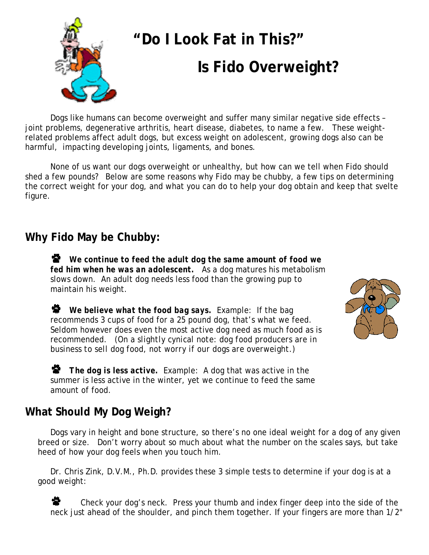

Dogs like humans can become overweight and suffer many similar negative side effects – joint problems, degenerative arthritis, heart disease, diabetes, to name a few. These weightrelated problems affect adult dogs, but excess weight on adolescent, growing dogs also can be harmful, impacting developing joints, ligaments, and bones.

None of us want our dogs overweight or unhealthy, but how can we tell when Fido should shed a few pounds? Below are some reasons why Fido may be chubby, a few tips on determining the correct weight for your dog, and what you can do to help your dog obtain and keep that svelte figure.

### **Why Fido May be Chubby:**

 *We continue to feed the adult dog the same amount of food we fed him when he was an adolescent.* As a dog matures his metabolism slows down. An adult dog needs less food than the growing pup to maintain his weight.

 *We believe what the food bag says.* Example: If the bag recommends 3 cups of food for a 25 pound dog, that's what we feed. Seldom however does even the most active dog need as much food as is recommended. *(On a slightly cynical note: dog food producers are in business to sell dog food, not worry if our dogs are overweight.)* 

 *The dog is less active.* Example: A dog that was active in the summer is less active in the winter, yet we continue to feed the same amount of food.

## **What S***hould* **My Dog Weigh?**

Dogs vary in height and bone structure, so there's no one ideal weight for a dog of any given breed or size. Don't worry about so much about what the number on the scales says, but take heed of how your dog feels when you touch him.

Dr. Chris Zink, D.V.M., Ph.D. provides these 3 simple tests to determine if your dog is at a good weight:

 Check your dog's neck. Press your thumb and index finger deep into the side of the neck just ahead of the shoulder, and pinch them together. If your fingers are more than 1/2"

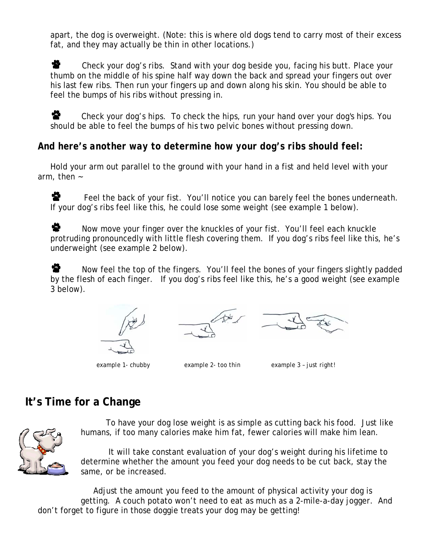apart, the dog is overweight. (Note: this is where old dogs tend to carry most of their excess fat, and they may actually be thin in other locations.)

2. Check your dog's ribs. Stand with your dog beside you, facing his butt. Place your thumb on the middle of his spine half way down the back and spread your fingers out over his last few ribs. Then run your fingers up and down along his skin. You should be able to feel the bumps of his ribs without pressing in.

 $\mathbf{\hat{P}}$  Check your dog's hips. To check the hips, run your hand over your dog's hips. You should be able to feel the bumps of his two pelvic bones without pressing down.

#### *And here's another way to determine how your dog's ribs should feel:*

Hold your arm out parallel to the ground with your hand in a fist and held level with your arm, then ~

2. Feel the back of your fist. You'll notice you can barely feel the bones underneath. If your dog's ribs feel like this, he could lose some weight (see example 1 below).

소. Now move your finger over the knuckles of your fist. You'll feel each knuckle protruding pronouncedly with little flesh covering them. If you dog's ribs feel like this, he's underweight (see example 2 below).

9. Now feel the top of the fingers. You'll feel the bones of your fingers slightly padded by the flesh of each finger. If you dog's ribs feel like this, he's a good weight (see example 3 below).







*example 1- chubby example 2- too thin example 3 – just right!*

## **It's Time for a Change**



To have your dog lose weight is as simple as cutting back his food. Just like humans, if too many calories make him fat, fewer calories will make him lean.

 It will take constant evaluation of your dog's weight during his lifetime to determine whether the amount you feed your dog needs to be cut back, stay the same, or be increased.

Adjust the amount you feed to the amount of physical activity your dog is getting. A couch potato won't need to eat as much as a 2-mile-a-day jogger. And don't forget to figure in those doggie treats your dog may be getting!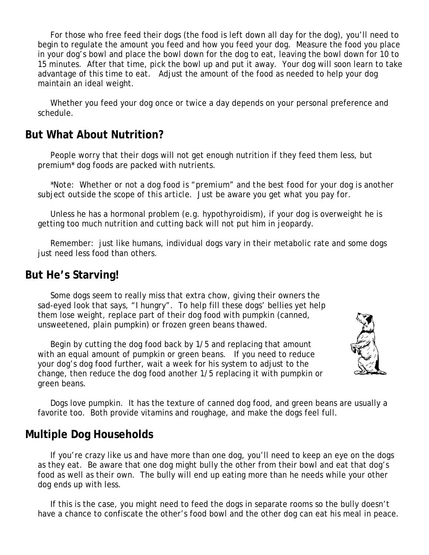For those who free feed their dogs (the food is left down all day for the dog), you'll need to begin to regulate the amount you feed and how you feed your dog. Measure the food you place in your dog's bowl and place the bowl down for the dog to eat, leaving the bowl down for 10 to 15 minutes. After that time, pick the bowl up and put it away. Your dog will soon learn to take advantage of this time to eat. Adjust the amount of the food as needed to help your dog maintain an ideal weight.

Whether you feed your dog once or twice a day depends on your personal preference and schedule.

#### **But What About Nutrition?**

People worry that their dogs will not get enough nutrition if they feed them less, but premium\* dog foods are packed with nutrients.

*\*Note: Whether or not a dog food is "premium" and the best food for your dog is another subject outside the scope of this article. Just be aware you get what you pay for.* 

Unless he has a hormonal problem (e.g. hypothyroidism), if your dog is overweight he is getting too much nutrition and cutting back will not put him in jeopardy.

Remember: just like humans, individual dogs vary in their metabolic rate and some dogs iust need less food than others.

### **But He's Starving!**

Some dogs seem to really miss that extra chow, giving their owners the sad-eyed look that says, "I hungry". To help fill these dogs' bellies yet help them lose weight, replace part of their dog food with pumpkin (canned, unsweetened, plain pumpkin) or frozen green beans thawed.

Begin by cutting the dog food back by 1/5 and replacing that amount with an equal amount of pumpkin or green beans. If you need to reduce your dog's dog food further, wait a week for his system to adjust to the change, then reduce the dog food another 1/5 replacing it with pumpkin or green beans.



Dogs love pumpkin. It has the texture of canned dog food, and green beans are usually a favorite too. Both provide vitamins and roughage, and make the dogs feel full.

### **Multiple Dog Households**

If you're crazy like us and have more than one dog, you'll need to keep an eye on the dogs as they eat. Be aware that one dog might bully the other from their bowl and eat that dog's food as well as their own. The bully will end up eating more than he needs while your other dog ends up with less.

If this is the case, you might need to feed the dogs in separate rooms so the bully doesn't have a chance to confiscate the other's food bowl and the other dog can eat his meal in peace.